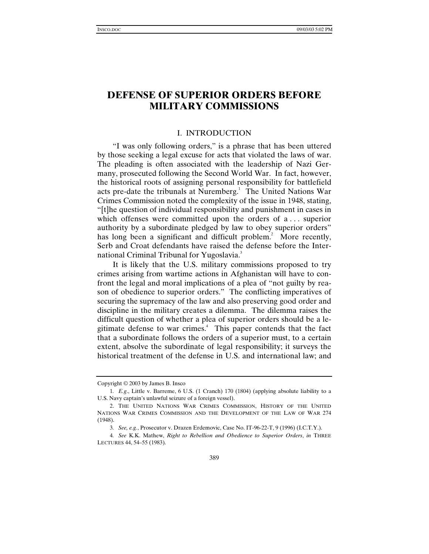# **DEFENSE OF SUPERIOR ORDERS BEFORE MILITARY COMMISSIONS**

## I. INTRODUCTION

"I was only following orders," is a phrase that has been uttered by those seeking a legal excuse for acts that violated the laws of war. The pleading is often associated with the leadership of Nazi Germany, prosecuted following the Second World War. In fact, however, the historical roots of assigning personal responsibility for battlefield acts pre-date the tribunals at Nuremberg.<sup>1</sup> The United Nations War Crimes Commission noted the complexity of the issue in 1948, stating, "[t]he question of individual responsibility and punishment in cases in which offenses were committed upon the orders of a... superior authority by a subordinate pledged by law to obey superior orders" has long been a significant and difficult problem.<sup>2</sup> More recently, Serb and Croat defendants have raised the defense before the International Criminal Tribunal for Yugoslavia.<sup>3</sup>

It is likely that the U.S. military commissions proposed to try crimes arising from wartime actions in Afghanistan will have to confront the legal and moral implications of a plea of "not guilty by reason of obedience to superior orders." The conflicting imperatives of securing the supremacy of the law and also preserving good order and discipline in the military creates a dilemma. The dilemma raises the difficult question of whether a plea of superior orders should be a legitimate defense to war crimes.<sup>4</sup> This paper contends that the fact that a subordinate follows the orders of a superior must, to a certain extent, absolve the subordinate of legal responsibility; it surveys the historical treatment of the defense in U.S. and international law; and

Copyright © 2003 by James B. Insco

<sup>1</sup>*. E.g*., Little v. Barreme, 6 U.S. (1 Cranch) 170 (1804) (applying absolute liability to a U.S. Navy captain's unlawful seizure of a foreign vessel).

<sup>2.</sup> THE UNITED NATIONS WAR CRIMES COMMISSION, HISTORY OF THE UNITED NATIONS WAR CRIMES COMMISSION AND THE DEVELOPMENT OF THE LAW OF WAR 274 (1948).

<sup>3</sup>*. See, e.g.*, Prosecutor v. Drazen Erdemovic, Case No. IT-96-22-T, 9 (1996) (I.C.T.Y.).

<sup>4</sup>*. See* K.K. Mathew, *Right to Rebellion and Obedience to Superior Orders*, *in* THREE LECTURES 44, 54–55 (1983).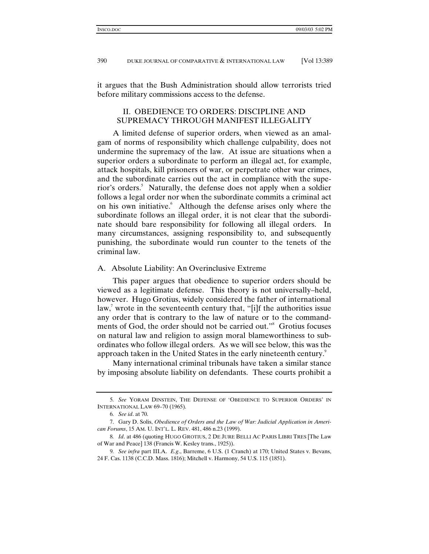it argues that the Bush Administration should allow terrorists tried before military commissions access to the defense.

## II. OBEDIENCE TO ORDERS: DISCIPLINE AND SUPREMACY THROUGH MANIFEST ILLEGALITY

A limited defense of superior orders, when viewed as an amalgam of norms of responsibility which challenge culpability, does not undermine the supremacy of the law. At issue are situations when a superior orders a subordinate to perform an illegal act, for example, attack hospitals, kill prisoners of war, or perpetrate other war crimes, and the subordinate carries out the act in compliance with the superior's orders.<sup>5</sup> Naturally, the defense does not apply when a soldier follows a legal order nor when the subordinate commits a criminal act on his own initiative. Although the defense arises only where the subordinate follows an illegal order, it is not clear that the subordinate should bare responsibility for following all illegal orders. In many circumstances, assigning responsibility to, and subsequently punishing, the subordinate would run counter to the tenets of the criminal law.

#### A. Absolute Liability: An Overinclusive Extreme

This paper argues that obedience to superior orders should be viewed as a legitimate defense. This theory is not universally–held, however. Hugo Grotius, widely considered the father of international law,<sup>7</sup> wrote in the seventeenth century that, "[i]f the authorities issue any order that is contrary to the law of nature or to the commandments of God, the order should not be carried out."<sup>8</sup> Grotius focuses on natural law and religion to assign moral blameworthiness to subordinates who follow illegal orders. As we will see below, this was the approach taken in the United States in the early nineteenth century.<sup>9</sup>

Many international criminal tribunals have taken a similar stance by imposing absolute liability on defendants. These courts prohibit a

<sup>5</sup>*. See* YORAM DINSTEIN, THE DEFENSE OF 'OBEDIENCE TO SUPERIOR ORDERS' IN INTERNATIONAL LAW 69–70 (1965).

<sup>6</sup>*. See id*. at 70.

<sup>7.</sup> Gary D. Solis, *Obedience of Orders and the Law of War: Judicial Application in American Forums*, 15 AM. U. INT'L. L. REV. 481, 486 n.23 (1999).

<sup>8</sup>*. Id*. at 486 (quoting HUGO GROTIUS, 2 DE JURE BELLI AC PARIS LIBRI TRES [The Law of War and Peace] 138 (Francis W. Kesley trans., 1925)).

<sup>9</sup>*. See infra* part III.A. *E.g*., Barreme, 6 U.S. (1 Cranch) at 170; United States v. Bevans, 24 F. Cas. 1138 (C.C.D. Mass. 1816); Mitchell v. Harmony, 54 U.S. 115 (1851).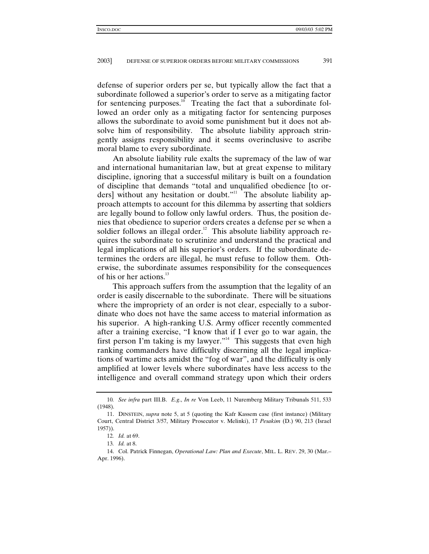defense of superior orders per se, but typically allow the fact that a subordinate followed a superior's order to serve as a mitigating factor for sentencing purposes.<sup>10</sup> Treating the fact that a subordinate followed an order only as a mitigating factor for sentencing purposes allows the subordinate to avoid some punishment but it does not absolve him of responsibility. The absolute liability approach stringently assigns responsibility and it seems overinclusive to ascribe moral blame to every subordinate.

An absolute liability rule exalts the supremacy of the law of war and international humanitarian law, but at great expense to military discipline, ignoring that a successful military is built on a foundation of discipline that demands "total and unqualified obedience [to orders] without any hesitation or doubt."<sup>11</sup> The absolute liability approach attempts to account for this dilemma by asserting that soldiers are legally bound to follow only lawful orders. Thus, the position denies that obedience to superior orders creates a defense per se when a soldier follows an illegal order.<sup>12</sup> This absolute liability approach requires the subordinate to scrutinize and understand the practical and legal implications of all his superior's orders. If the subordinate determines the orders are illegal, he must refuse to follow them. Otherwise, the subordinate assumes responsibility for the consequences of his or her actions. $^{13}$ 

This approach suffers from the assumption that the legality of an order is easily discernable to the subordinate. There will be situations where the impropriety of an order is not clear, especially to a subordinate who does not have the same access to material information as his superior. A high-ranking U.S. Army officer recently commented after a training exercise, "I know that if I ever go to war again, the first person I'm taking is my lawyer."<sup>14</sup> This suggests that even high ranking commanders have difficulty discerning all the legal implications of wartime acts amidst the "fog of war", and the difficulty is only amplified at lower levels where subordinates have less access to the intelligence and overall command strategy upon which their orders

<sup>10</sup>*. See infra* part III.B. *E.g*., *In re* Von Leeb, 11 Nuremberg Military Tribunals 511, 533 (1948).

<sup>11.</sup> DINSTEIN, *supra* note 5, at 5 (quoting the Kafr Kassem case (first instance) (Military Court, Central District 3/57, Military Prosecutor v. Melinki), 17 *Pesakim* (D.) 90, 213 (Israel 1957)).

<sup>12</sup>*. Id.* at 69.

<sup>13</sup>*. Id.* at 8.

<sup>14.</sup> Col. Patrick Finnegan, *Operational Law: Plan and Execute*, MIL. L. REV. 29, 30 (Mar.– Apr. 1996).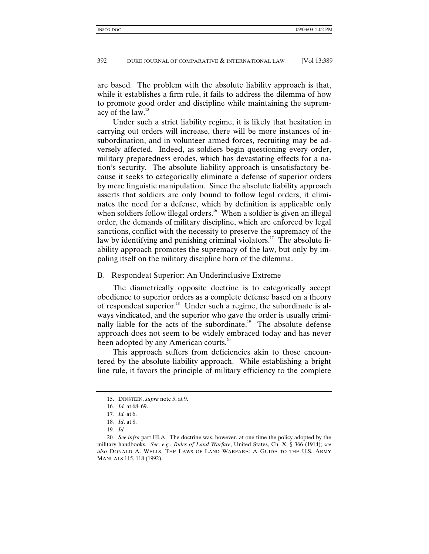are based. The problem with the absolute liability approach is that, while it establishes a firm rule, it fails to address the dilemma of how to promote good order and discipline while maintaining the supremacy of the law.<sup>15</sup>

Under such a strict liability regime, it is likely that hesitation in carrying out orders will increase, there will be more instances of insubordination, and in volunteer armed forces, recruiting may be adversely affected. Indeed, as soldiers begin questioning every order, military preparedness erodes, which has devastating effects for a nation's security. The absolute liability approach is unsatisfactory because it seeks to categorically eliminate a defense of superior orders by mere linguistic manipulation. Since the absolute liability approach asserts that soldiers are only bound to follow legal orders, it eliminates the need for a defense, which by definition is applicable only when soldiers follow illegal orders.<sup>16</sup> When a soldier is given an illegal order, the demands of military discipline, which are enforced by legal sanctions, conflict with the necessity to preserve the supremacy of the law by identifying and punishing criminal violators.<sup>17</sup> The absolute liability approach promotes the supremacy of the law, but only by impaling itself on the military discipline horn of the dilemma.

#### B. Respondeat Superior: An Underinclusive Extreme

The diametrically opposite doctrine is to categorically accept obedience to superior orders as a complete defense based on a theory of respondeat superior.<sup>18</sup> Under such a regime, the subordinate is always vindicated, and the superior who gave the order is usually criminally liable for the acts of the subordinate.<sup>19</sup> The absolute defense approach does not seem to be widely embraced today and has never been adopted by any American courts. $^{20}$ 

This approach suffers from deficiencies akin to those encountered by the absolute liability approach. While establishing a bright line rule, it favors the principle of military efficiency to the complete

<sup>15.</sup> DINSTEIN, *supra* note 5, at 9.

<sup>16</sup>*. Id.* at 68–69.

<sup>17</sup>*. Id.* at 6.

<sup>18</sup>*. Id*. at 8.

<sup>19</sup>*. Id.*

<sup>20</sup>*. See infra* part III.A. The doctrine was, however, at one time the policy adopted by the military handbooks. *See, e.g.*, *Rules of Land Warfare*, United States, Ch. X, § 366 (1914); *see also* DONALD A. WELLS, THE LAWS OF LAND WARFARE: A GUIDE TO THE U.S. ARMY MANUALS 115, 118 (1992).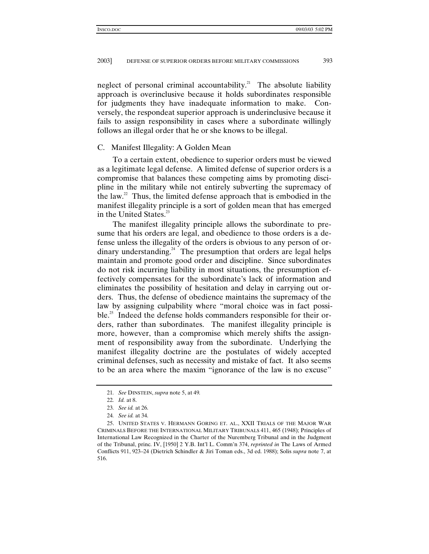neglect of personal criminal accountability.<sup>21</sup> The absolute liability approach is overinclusive because it holds subordinates responsible for judgments they have inadequate information to make. Conversely, the respondeat superior approach is underinclusive because it fails to assign responsibility in cases where a subordinate willingly follows an illegal order that he or she knows to be illegal.

### C. Manifest Illegality: A Golden Mean

To a certain extent, obedience to superior orders must be viewed as a legitimate legal defense. A limited defense of superior orders is a compromise that balances these competing aims by promoting discipline in the military while not entirely subverting the supremacy of the law.<sup>22</sup> Thus, the limited defense approach that is embodied in the manifest illegality principle is a sort of golden mean that has emerged in the United States.<sup>23</sup>

The manifest illegality principle allows the subordinate to presume that his orders are legal, and obedience to those orders is a defense unless the illegality of the orders is obvious to any person of ordinary understanding.<sup>24</sup> The presumption that orders are legal helps maintain and promote good order and discipline. Since subordinates do not risk incurring liability in most situations, the presumption effectively compensates for the subordinate's lack of information and eliminates the possibility of hesitation and delay in carrying out orders. Thus, the defense of obedience maintains the supremacy of the law by assigning culpability where "moral choice was in fact possible.<sup>25</sup> Indeed the defense holds commanders responsible for their orders, rather than subordinates. The manifest illegality principle is more, however, than a compromise which merely shifts the assignment of responsibility away from the subordinate. Underlying the manifest illegality doctrine are the postulates of widely accepted criminal defenses, such as necessity and mistake of fact. It also seems to be an area where the maxim "ignorance of the law is no excuse"

<sup>21</sup>*. See* DINSTEIN, *supra* note 5, at 49*.*

<sup>22</sup>*. Id.* at 8.

<sup>23</sup>*. See id.* at 26.

<sup>24</sup>*. See id.* at 34.

<sup>25.</sup> UNITED STATES V. HERMANN GORING ET. AL., XXII TRIALS OF THE MAJOR WAR CRIMINALS BEFORE THE INTERNATIONAL MILITARY TRIBUNALS 411, 465 (1948); Principles of International Law Recognized in the Charter of the Nuremberg Tribunal and in the Judgment of the Tribunal, princ. IV, [1950] 2 Y.B. Int'l L. Comm'n 374, *reprinted in* The Laws of Armed Conflicts 911, 923–24 (Dietrich Schindler & Jiri Toman eds., 3d ed. 1988); Solis *supra* note 7, at 516.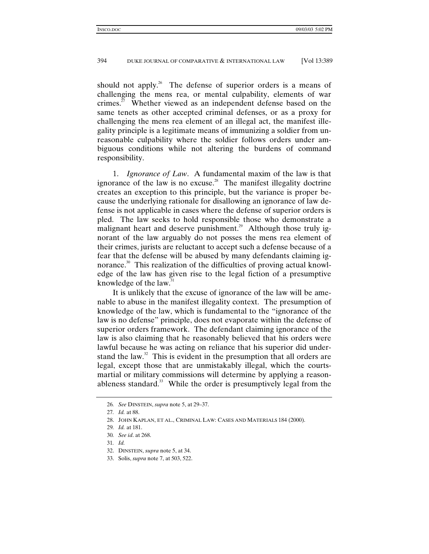should not apply.<sup>26</sup> The defense of superior orders is a means of challenging the mens rea, or mental culpability, elements of war crimes.<sup>27</sup> Whether viewed as an independent defense based on the same tenets as other accepted criminal defenses, or as a proxy for challenging the mens rea element of an illegal act, the manifest illegality principle is a legitimate means of immunizing a soldier from unreasonable culpability where the soldier follows orders under ambiguous conditions while not altering the burdens of command responsibility.

1. *Ignorance of Law*. A fundamental maxim of the law is that ignorance of the law is no excuse.<sup>28</sup> The manifest illegality doctrine creates an exception to this principle, but the variance is proper because the underlying rationale for disallowing an ignorance of law defense is not applicable in cases where the defense of superior orders is pled. The law seeks to hold responsible those who demonstrate a malignant heart and deserve punishment.<sup>29</sup> Although those truly ignorant of the law arguably do not posses the mens rea element of their crimes, jurists are reluctant to accept such a defense because of a fear that the defense will be abused by many defendants claiming ignorance.<sup>30</sup> This realization of the difficulties of proving actual knowledge of the law has given rise to the legal fiction of a presumptive knowledge of the law. $31$ 

It is unlikely that the excuse of ignorance of the law will be amenable to abuse in the manifest illegality context. The presumption of knowledge of the law, which is fundamental to the "ignorance of the law is no defense" principle, does not evaporate within the defense of superior orders framework. The defendant claiming ignorance of the law is also claiming that he reasonably believed that his orders were lawful because he was acting on reliance that his superior did understand the law. $32$  This is evident in the presumption that all orders are legal, except those that are unmistakably illegal, which the courtsmartial or military commissions will determine by applying a reasonableness standard.<sup>33</sup> While the order is presumptively legal from the

<sup>26</sup>*. See* DINSTEIN, *supra* note 5, at 29–37.

<sup>27</sup>*. Id.* at 88.

<sup>28.</sup> JOHN KAPLAN, ET AL., CRIMINAL LAW: CASES AND MATERIALS 184 (2000).

<sup>29</sup>*. Id.* at 181.

<sup>30</sup>*. See id*. at 268.

<sup>31</sup>*. Id.*

<sup>32.</sup> DINSTEIN, *supra* note 5, at 34.

<sup>33.</sup> Solis, *supra* note 7, at 503, 522.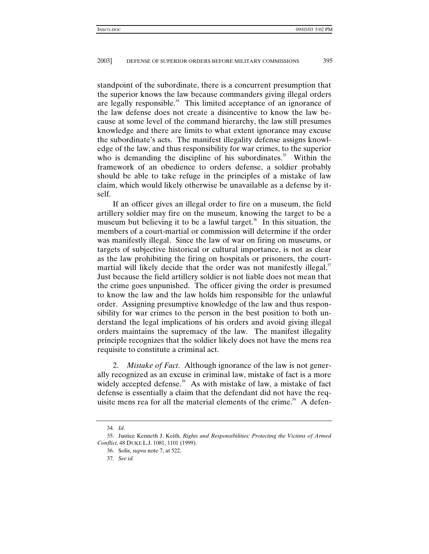standpoint of the subordinate, there is a concurrent presumption that the superior knows the law because commanders giving illegal orders are legally responsible. $34$  This limited acceptance of an ignorance of the law defense does not create a disincentive to know the law because at some level of the command hierarchy, the law still presumes knowledge and there are limits to what extent ignorance may excuse the subordinate's acts. The manifest illegality defense assigns knowledge of the law, and thus responsibility for war crimes, to the superior who is demanding the discipline of his subordinates.<sup>35</sup> Within the framework of an obedience to orders defense, a soldier probably should be able to take refuge in the principles of a mistake of law claim, which would likely otherwise be unavailable as a defense by itself.

If an officer gives an illegal order to fire on a museum, the field artillery soldier may fire on the museum, knowing the target to be a museum but believing it to be a lawful target.<sup>36</sup> In this situation, the members of a court-martial or commission will determine if the order was manifestly illegal. Since the law of war on firing on museums, or targets of subjective historical or cultural importance, is not as clear as the law prohibiting the firing on hospitals or prisoners, the courtmartial will likely decide that the order was not manifestly illegal.<sup>37</sup> Just because the field artillery soldier is not liable does not mean that the crime goes unpunished. The officer giving the order is presumed to know the law and the law holds him responsible for the unlawful order. Assigning presumptive knowledge of the law and thus responsibility for war crimes to the person in the best position to both understand the legal implications of his orders and avoid giving illegal orders maintains the supremacy of the law. The manifest illegality principle recognizes that the soldier likely does not have the mens rea requisite to constitute a criminal act.

2. *Mistake of Fact*. Although ignorance of the law is not generally recognized as an excuse in criminal law, mistake of fact is a more widely accepted defense. $38$  As with mistake of law, a mistake of fact defense is essentially a claim that the defendant did not have the requisite mens rea for all the material elements of the crime.<sup>39</sup> A defen-

<sup>34</sup>*. Id*.

<sup>35.</sup> Justice Kenneth J. Keith, *Rights and Responsibilities: Protecting the Victims of Armed Conflict*, 48 DUKE L.J. 1081, 1101 (1999).

<sup>36.</sup> Solis, *supra* note 7, at 522.

<sup>37</sup>*. See id.*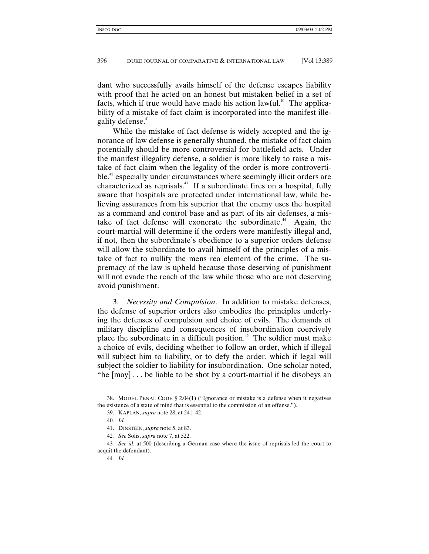dant who successfully avails himself of the defense escapes liability with proof that he acted on an honest but mistaken belief in a set of facts, which if true would have made his action lawful.<sup>40</sup> The applicability of a mistake of fact claim is incorporated into the manifest illegality defense.<sup>41</sup>

While the mistake of fact defense is widely accepted and the ignorance of law defense is generally shunned, the mistake of fact claim potentially should be more controversial for battlefield acts. Under the manifest illegality defense, a soldier is more likely to raise a mistake of fact claim when the legality of the order is more controverti $b$ le,<sup>42</sup> especially under circumstances where seemingly illicit orders are characterized as reprisals.<sup> $43$ </sup> If a subordinate fires on a hospital, fully aware that hospitals are protected under international law, while believing assurances from his superior that the enemy uses the hospital as a command and control base and as part of its air defenses, a mistake of fact defense will exonerate the subordinate.<sup>44</sup> Again, the court-martial will determine if the orders were manifestly illegal and, if not, then the subordinate's obedience to a superior orders defense will allow the subordinate to avail himself of the principles of a mistake of fact to nullify the mens rea element of the crime. The supremacy of the law is upheld because those deserving of punishment will not evade the reach of the law while those who are not deserving avoid punishment.

3. *Necessity and Compulsion*. In addition to mistake defenses, the defense of superior orders also embodies the principles underlying the defenses of compulsion and choice of evils. The demands of military discipline and consequences of insubordination coercively place the subordinate in a difficult position.<sup>45</sup> The soldier must make a choice of evils, deciding whether to follow an order, which if illegal will subject him to liability, or to defy the order, which if legal will subject the soldier to liability for insubordination. One scholar noted, "he [may] . . . be liable to be shot by a court-martial if he disobeys an

<sup>38.</sup> MODEL PENAL CODE § 2.04(1) ("Ignorance or mistake is a defense when it negatives the existence of a state of mind that is essential to the commission of an offense.").

<sup>39.</sup> KAPLAN, *supra* note 28, at 241–42.

<sup>40</sup>*. Id.*

<sup>41.</sup> DINSTEIN, *supra* note 5, at 83.

<sup>42</sup>*. See* Solis, *supra* note 7, at 522.

<sup>43</sup>*. See id.* at 500 (describing a German case where the issue of reprisals led the court to acquit the defendant).

<sup>44</sup>*. Id.*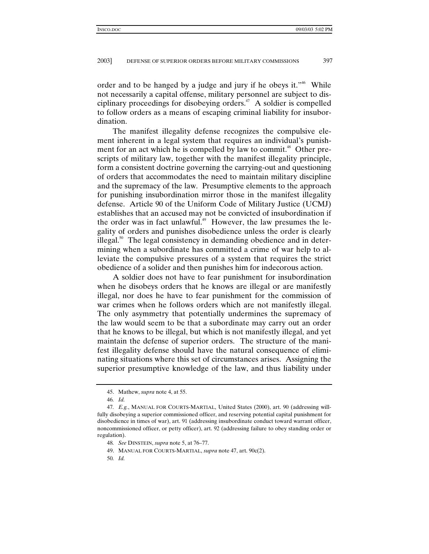order and to be hanged by a judge and jury if he obeys it."<sup>46</sup> While not necessarily a capital offense, military personnel are subject to disciplinary proceedings for disobeying orders.<sup> $47$ </sup> A soldier is compelled to follow orders as a means of escaping criminal liability for insubordination.

The manifest illegality defense recognizes the compulsive element inherent in a legal system that requires an individual's punishment for an act which he is compelled by law to commit.<sup>48</sup> Other prescripts of military law, together with the manifest illegality principle, form a consistent doctrine governing the carrying-out and questioning of orders that accommodates the need to maintain military discipline and the supremacy of the law. Presumptive elements to the approach for punishing insubordination mirror those in the manifest illegality defense. Article 90 of the Uniform Code of Military Justice (UCMJ) establishes that an accused may not be convicted of insubordination if the order was in fact unlawful.<sup>49</sup> However, the law presumes the legality of orders and punishes disobedience unless the order is clearly illegal. $50$  The legal consistency in demanding obedience and in determining when a subordinate has committed a crime of war help to alleviate the compulsive pressures of a system that requires the strict obedience of a solider and then punishes him for indecorous action.

A soldier does not have to fear punishment for insubordination when he disobeys orders that he knows are illegal or are manifestly illegal, nor does he have to fear punishment for the commission of war crimes when he follows orders which are not manifestly illegal. The only asymmetry that potentially undermines the supremacy of the law would seem to be that a subordinate may carry out an order that he knows to be illegal, but which is not manifestly illegal, and yet maintain the defense of superior orders. The structure of the manifest illegality defense should have the natural consequence of eliminating situations where this set of circumstances arises. Assigning the superior presumptive knowledge of the law, and thus liability under

<sup>45.</sup> Mathew, *supra* note 4, at 55.

<sup>46</sup>*. Id.*

<sup>47</sup>*. E.g.*, MANUAL FOR COURTS-MARTIAL, United States (2000), art. 90 (addressing willfully disobeying a superior commissioned officer, and reserving potential capital punishment for disobedience in times of war), art. 91 (addressing insubordinate conduct toward warrant officer, noncommissioned officer, or petty officer), art. 92 (addressing failure to obey standing order or regulation).

<sup>48</sup>*. See* DINSTEIN, *supra* note 5, at 76–77.

<sup>49.</sup> MANUAL FOR COURTS-MARTIAL, *supra* note 47, art. 90c(2).

<sup>50</sup>*. Id.*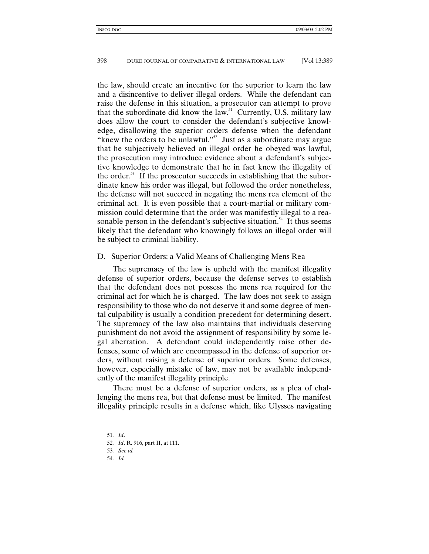the law, should create an incentive for the superior to learn the law and a disincentive to deliver illegal orders. While the defendant can raise the defense in this situation, a prosecutor can attempt to prove that the subordinate did know the law.<sup>51</sup> Currently, U.S. military law does allow the court to consider the defendant's subjective knowledge, disallowing the superior orders defense when the defendant "knew the orders to be unlawful."<sup>52</sup> Just as a subordinate may argue that he subjectively believed an illegal order he obeyed was lawful, the prosecution may introduce evidence about a defendant's subjective knowledge to demonstrate that he in fact knew the illegality of the order. $53$  If the prosecutor succeeds in establishing that the subordinate knew his order was illegal, but followed the order nonetheless, the defense will not succeed in negating the mens rea element of the criminal act. It is even possible that a court-martial or military commission could determine that the order was manifestly illegal to a reasonable person in the defendant's subjective situation.<sup>54</sup> It thus seems likely that the defendant who knowingly follows an illegal order will be subject to criminal liability.

## D. Superior Orders: a Valid Means of Challenging Mens Rea

The supremacy of the law is upheld with the manifest illegality defense of superior orders, because the defense serves to establish that the defendant does not possess the mens rea required for the criminal act for which he is charged. The law does not seek to assign responsibility to those who do not deserve it and some degree of mental culpability is usually a condition precedent for determining desert. The supremacy of the law also maintains that individuals deserving punishment do not avoid the assignment of responsibility by some legal aberration. A defendant could independently raise other defenses, some of which are encompassed in the defense of superior orders, without raising a defense of superior orders. Some defenses, however, especially mistake of law, may not be available independently of the manifest illegality principle.

There must be a defense of superior orders, as a plea of challenging the mens rea, but that defense must be limited. The manifest illegality principle results in a defense which, like Ulysses navigating

<sup>51</sup>*. Id*.

<sup>52</sup>*. Id*. R. 916, part II, at 111.

<sup>53</sup>*. See id.*

<sup>54</sup>*. Id.*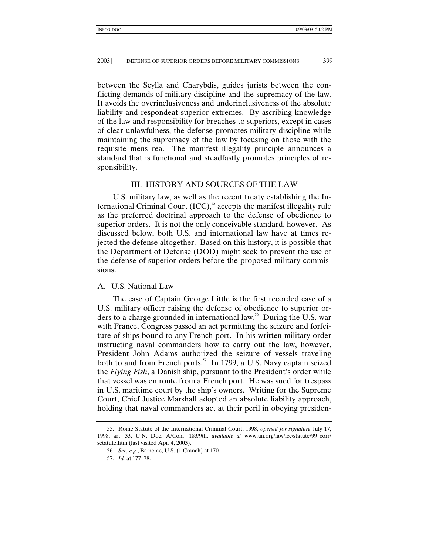between the Scylla and Charybdis, guides jurists between the conflicting demands of military discipline and the supremacy of the law. It avoids the overinclusiveness and underinclusiveness of the absolute liability and respondeat superior extremes. By ascribing knowledge of the law and responsibility for breaches to superiors, except in cases of clear unlawfulness, the defense promotes military discipline while maintaining the supremacy of the law by focusing on those with the requisite mens rea. The manifest illegality principle announces a standard that is functional and steadfastly promotes principles of responsibility.

## III. HISTORY AND SOURCES OF THE LAW

U.S. military law, as well as the recent treaty establishing the International Criminal Court  $(ICC)$ ,<sup>55</sup> accepts the manifest illegality rule as the preferred doctrinal approach to the defense of obedience to superior orders. It is not the only conceivable standard, however. As discussed below, both U.S. and international law have at times rejected the defense altogether. Based on this history, it is possible that the Department of Defense (DOD) might seek to prevent the use of the defense of superior orders before the proposed military commissions.

#### A. U.S. National Law

The case of Captain George Little is the first recorded case of a U.S. military officer raising the defense of obedience to superior orders to a charge grounded in international law.<sup>56</sup> During the U.S. war with France, Congress passed an act permitting the seizure and forfeiture of ships bound to any French port. In his written military order instructing naval commanders how to carry out the law, however, President John Adams authorized the seizure of vessels traveling both to and from French ports. $57$  In 1799, a U.S. Navy captain seized the *Flying Fish*, a Danish ship, pursuant to the President's order while that vessel was en route from a French port. He was sued for trespass in U.S. maritime court by the ship's owners. Writing for the Supreme Court, Chief Justice Marshall adopted an absolute liability approach, holding that naval commanders act at their peril in obeying presiden-

<sup>55.</sup> Rome Statute of the International Criminal Court, 1998, *opened for signature* July 17, 1998, art. 33, U.N. Doc. A/Conf. 183/9th, *available at* www.un.org/law/icc/statute/99\_corr/ sctatute.htm (last visited Apr. 4, 2003).

<sup>56</sup>*. See, e.g.*, Barreme, U.S. (1 Cranch) at 170.

<sup>57</sup>*. Id.* at 177–78.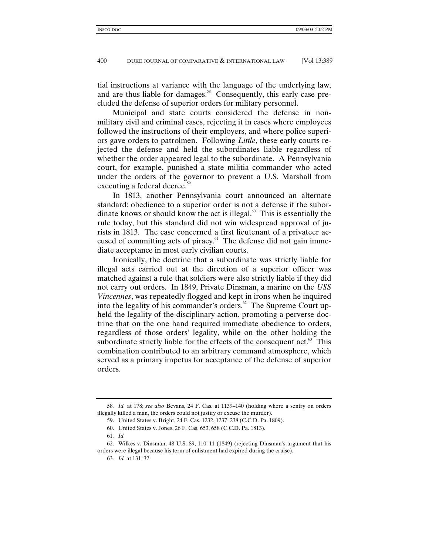tial instructions at variance with the language of the underlying law, and are thus liable for damages.<sup>58</sup> Consequently, this early case precluded the defense of superior orders for military personnel.

Municipal and state courts considered the defense in nonmilitary civil and criminal cases, rejecting it in cases where employees followed the instructions of their employers, and where police superiors gave orders to patrolmen. Following *Little*, these early courts rejected the defense and held the subordinates liable regardless of whether the order appeared legal to the subordinate. A Pennsylvania court, for example, punished a state militia commander who acted under the orders of the governor to prevent a U.S. Marshall from executing a federal decree.<sup>59</sup>

In 1813, another Pennsylvania court announced an alternate standard: obedience to a superior order is not a defense if the subordinate knows or should know the act is illegal.<sup>60</sup> This is essentially the rule today, but this standard did not win widespread approval of jurists in 1813. The case concerned a first lieutenant of a privateer accused of committing acts of piracy. $61$  The defense did not gain immediate acceptance in most early civilian courts.

Ironically, the doctrine that a subordinate was strictly liable for illegal acts carried out at the direction of a superior officer was matched against a rule that soldiers were also strictly liable if they did not carry out orders. In 1849, Private Dinsman, a marine on the *USS Vincennes*, was repeatedly flogged and kept in irons when he inquired into the legality of his commander's orders. $62$  The Supreme Court upheld the legality of the disciplinary action, promoting a perverse doctrine that on the one hand required immediate obedience to orders, regardless of those orders' legality, while on the other holding the subordinate strictly liable for the effects of the consequent  $act.^{63}$ . This combination contributed to an arbitrary command atmosphere, which served as a primary impetus for acceptance of the defense of superior orders.

<sup>58</sup>*. Id.* at 178; *see also* Bevans, 24 F. Cas. at 1139–140 (holding where a sentry on orders illegally killed a man, the orders could not justify or excuse the murder).

<sup>59.</sup> United States v. Bright, 24 F. Cas. 1232, 1237–238 (C.C.D. Pa. 1809).

<sup>60.</sup> United States v. Jones, 26 F. Cas. 653, 658 (C.C.D. Pa. 1813).

<sup>61</sup>*. Id.*

<sup>62.</sup> Wilkes v. Dinsman, 48 U.S. 89, 110–11 (1849) (rejecting Dinsman's argument that his orders were illegal because his term of enlistment had expired during the cruise).

<sup>63</sup>*. Id.* at 131–32.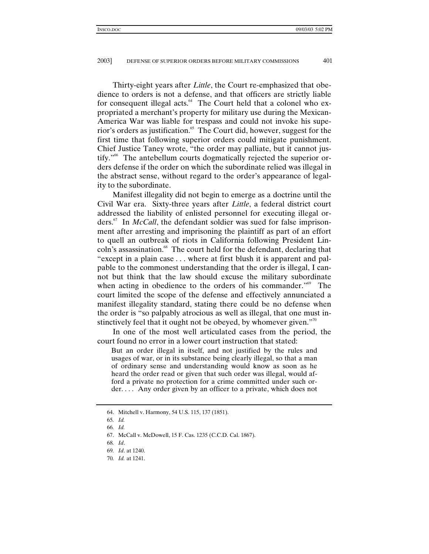Thirty-eight years after *Little*, the Court re-emphasized that obedience to orders is not a defense, and that officers are strictly liable for consequent illegal acts. $64$  The Court held that a colonel who expropriated a merchant's property for military use during the Mexican-America War was liable for trespass and could not invoke his superior's orders as justification.<sup>65</sup> The Court did, however, suggest for the first time that following superior orders could mitigate punishment. Chief Justice Taney wrote, "the order may palliate, but it cannot justify."66 The antebellum courts dogmatically rejected the superior orders defense if the order on which the subordinate relied was illegal in the abstract sense, without regard to the order's appearance of legality to the subordinate.

Manifest illegality did not begin to emerge as a doctrine until the Civil War era. Sixty-three years after *Little*, a federal district court addressed the liability of enlisted personnel for executing illegal orders.67 In *McCall*, the defendant soldier was sued for false imprisonment after arresting and imprisoning the plaintiff as part of an effort to quell an outbreak of riots in California following President Lincoln's assassination.<sup>68</sup> The court held for the defendant, declaring that "except in a plain case . . . where at first blush it is apparent and palpable to the commonest understanding that the order is illegal, I cannot but think that the law should excuse the military subordinate when acting in obedience to the orders of his commander."<sup>69</sup> The court limited the scope of the defense and effectively annunciated a manifest illegality standard, stating there could be no defense when the order is "so palpably atrocious as well as illegal, that one must instinctively feel that it ought not be obeyed, by whomever given."<sup>70</sup>

In one of the most well articulated cases from the period, the court found no error in a lower court instruction that stated:

But an order illegal in itself, and not justified by the rules and usages of war, or in its substance being clearly illegal, so that a man of ordinary sense and understanding would know as soon as he heard the order read or given that such order was illegal, would afford a private no protection for a crime committed under such order. . . . Any order given by an officer to a private, which does not

<sup>64.</sup> Mitchell v. Harmony, 54 U.S. 115, 137 (1851).

<sup>65</sup>*. Id.*

<sup>66</sup>*. Id.*

<sup>67.</sup> McCall v. McDowell, 15 F. Cas. 1235 (C.C.D. Cal. 1867).

<sup>68</sup>*. Id*.

<sup>69</sup>*. Id*. at 1240.

<sup>70</sup>*. Id.* at 1241.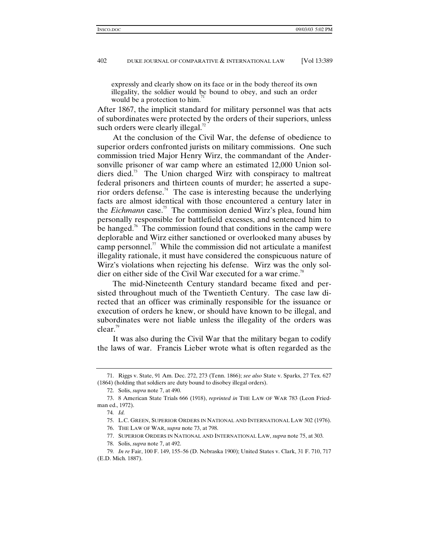expressly and clearly show on its face or in the body thereof its own illegality, the soldier would be bound to obey, and such an order would be a protection to him.

After 1867, the implicit standard for military personnel was that acts of subordinates were protected by the orders of their superiors, unless such orders were clearly illegal. $^{72}$ 

At the conclusion of the Civil War, the defense of obedience to superior orders confronted jurists on military commissions. One such commission tried Major Henry Wirz, the commandant of the Andersonville prisoner of war camp where an estimated 12,000 Union soldiers died.<sup>73</sup> The Union charged Wirz with conspiracy to maltreat federal prisoners and thirteen counts of murder; he asserted a superior orders defense.<sup>74</sup> The case is interesting because the underlying facts are almost identical with those encountered a century later in the *Eichmann* case.<sup>75</sup> The commission denied Wirz's plea, found him personally responsible for battlefield excesses, and sentenced him to be hanged.<sup>76</sup> The commission found that conditions in the camp were deplorable and Wirz either sanctioned or overlooked many abuses by camp personnel.<sup>77</sup> While the commission did not articulate a manifest illegality rationale, it must have considered the conspicuous nature of Wirz's violations when rejecting his defense. Wirz was the only soldier on either side of the Civil War executed for a war crime.<sup>78</sup>

The mid-Nineteenth Century standard became fixed and persisted throughout much of the Twentieth Century. The case law directed that an officer was criminally responsible for the issuance or execution of orders he knew, or should have known to be illegal, and subordinates were not liable unless the illegality of the orders was clear.<sup>79</sup>

It was also during the Civil War that the military began to codify the laws of war. Francis Lieber wrote what is often regarded as the

<sup>71.</sup> Riggs v. State, 91 Am. Dec. 272, 273 (Tenn. 1866); *see also* State v. Sparks, 27 Tex. 627 (1864) (holding that soldiers are duty bound to disobey illegal orders).

<sup>72.</sup> Solis, *supra* note 7, at 490.

<sup>73. 8</sup> American State Trials 666 (1918), *reprinted in* THE LAW OF WAR 783 (Leon Friedman ed., 1972).

<sup>74</sup>*. Id.*

<sup>75.</sup> L.C. GREEN, SUPERIOR ORDERS IN NATIONAL AND INTERNATIONAL LAW 302 (1976).

<sup>76.</sup> THE LAW OF WAR, *supra* note 73, at 798.

<sup>77.</sup> SUPERIOR ORDERS IN NATIONAL AND INTERNATIONAL LAW, *supra* note 75, at 303*.*

<sup>78.</sup> Solis, *supra* note 7, at 492.

<sup>79</sup>*. In re* Fair, 100 F. 149, 155–56 (D. Nebraska 1900); United States v. Clark, 31 F. 710, 717 (E.D. Mich. 1887).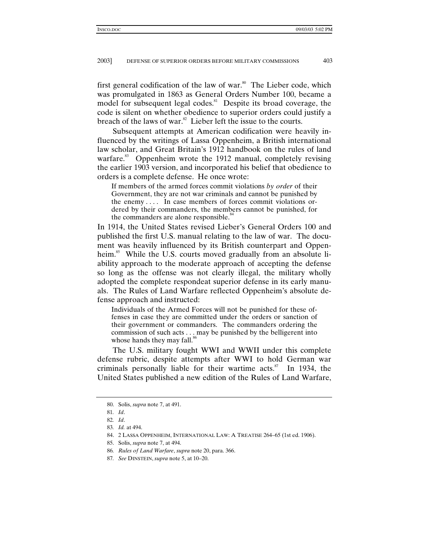first general codification of the law of war.<sup>80</sup> The Lieber code, which was promulgated in 1863 as General Orders Number 100, became a model for subsequent legal codes. $81$  Despite its broad coverage, the code is silent on whether obedience to superior orders could justify a breach of the laws of war. $82$  Lieber left the issue to the courts.

Subsequent attempts at American codification were heavily influenced by the writings of Lassa Oppenheim, a British international law scholar, and Great Britain's 1912 handbook on the rules of land warfare.<sup>83</sup> Oppenheim wrote the 1912 manual, completely revising the earlier 1903 version, and incorporated his belief that obedience to orders is a complete defense. He once wrote:

If members of the armed forces commit violations *by order* of their Government, they are not war criminals and cannot be punished by the enemy . . . . In case members of forces commit violations ordered by their commanders, the members cannot be punished, for the commanders are alone responsible.<sup>84</sup>

In 1914, the United States revised Lieber's General Orders 100 and published the first U.S. manual relating to the law of war. The document was heavily influenced by its British counterpart and Oppenheim.<sup>85</sup> While the U.S. courts moved gradually from an absolute liability approach to the moderate approach of accepting the defense so long as the offense was not clearly illegal, the military wholly adopted the complete respondeat superior defense in its early manuals. The Rules of Land Warfare reflected Oppenheim's absolute defense approach and instructed:

Individuals of the Armed Forces will not be punished for these offenses in case they are committed under the orders or sanction of their government or commanders. The commanders ordering the commission of such acts . . . may be punished by the belligerent into whose hands they may fall.<sup>86</sup>

The U.S. military fought WWI and WWII under this complete defense rubric, despite attempts after WWI to hold German war criminals personally liable for their wartime acts.<sup>87</sup> In 1934, the United States published a new edition of the Rules of Land Warfare,

<sup>80.</sup> Solis, *supra* note 7, at 491.

<sup>81</sup>*. Id*.

<sup>82</sup>*. Id*.

<sup>83</sup>*. Id.* at 494.

<sup>84. 2</sup> LASSA OPPENHEIM, INTERNATIONAL LAW: A TREATISE 264–65 (1st ed. 1906).

<sup>85.</sup> Solis, *supra* note 7, at 494.

<sup>86</sup>*. Rules of Land Warfare*, *supra* note 20, para. 366.

<sup>87</sup>*. See* DINSTEIN, *supra* note 5, at 10–20.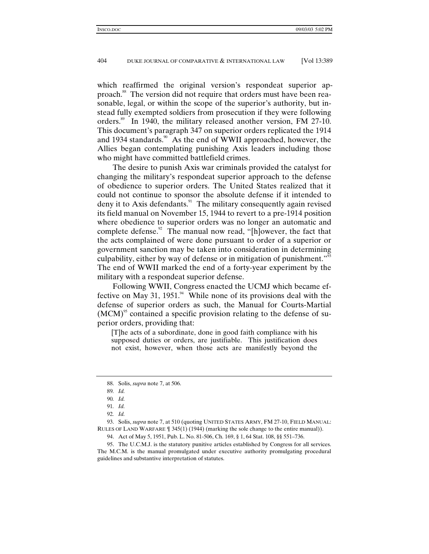which reaffirmed the original version's respondeat superior approach.<sup>88</sup> The version did not require that orders must have been reasonable, legal, or within the scope of the superior's authority, but instead fully exempted soldiers from prosecution if they were following orders.<sup>89</sup> In 1940, the military released another version, FM 27-10. This document's paragraph 347 on superior orders replicated the 1914 and 1934 standards.<sup>90</sup> As the end of WWII approached, however, the Allies began contemplating punishing Axis leaders including those who might have committed battlefield crimes.

The desire to punish Axis war criminals provided the catalyst for changing the military's respondeat superior approach to the defense of obedience to superior orders. The United States realized that it could not continue to sponsor the absolute defense if it intended to deny it to Axis defendants.<sup>91</sup> The military consequently again revised its field manual on November 15, 1944 to revert to a pre-1914 position where obedience to superior orders was no longer an automatic and complete defense.<sup>92</sup> The manual now read, "[h]owever, the fact that the acts complained of were done pursuant to order of a superior or government sanction may be taken into consideration in determining culpability, either by way of defense or in mitigation of punishment."<sup>93</sup> The end of WWII marked the end of a forty-year experiment by the military with a respondeat superior defense.

Following WWII, Congress enacted the UCMJ which became effective on May 31, 1951. $44$  While none of its provisions deal with the defense of superior orders as such, the Manual for Courts-Martial  $(MCM)$ <sup>95</sup> contained a specific provision relating to the defense of superior orders, providing that:

[T]he acts of a subordinate, done in good faith compliance with his supposed duties or orders, are justifiable. This justification does not exist, however, when those acts are manifestly beyond the

93. Solis, *supra* note 7, at 510 (quoting UNITED STATES ARMY, FM 27-10, FIELD MANUAL: RULES OF LAND WARFARE ¶ 345(1) (1944) (marking the sole change to the entire manual)).

94. Act of May 5, 1951, Pub. L. No. 81-506, Ch. 169, § 1, 64 Stat. 108, §§ 551–736.

95. The U.C.M.J. is the statutory punitive articles established by Congress for all services. The M.C.M. is the manual promulgated under executive authority promulgating procedural guidelines and substantive interpretation of statutes.

<sup>88.</sup> Solis, *supra* note 7, at 506.

<sup>89</sup>*. Id.*

<sup>90</sup>*. Id.*

<sup>91</sup>*. Id.*

<sup>92</sup>*. Id.*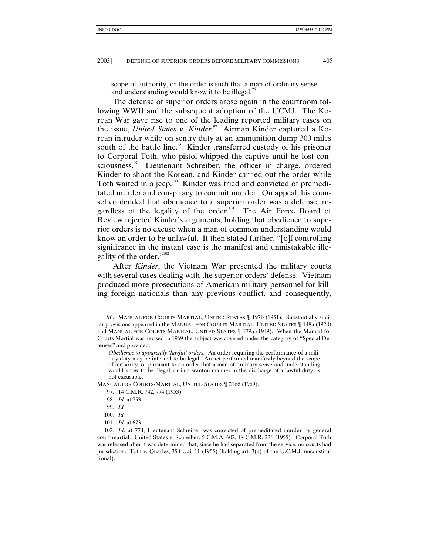scope of authority, or the order is such that a man of ordinary sense and understanding would know it to be illegal.<sup>96</sup>

The defense of superior orders arose again in the courtroom following WWII and the subsequent adoption of the UCMJ. The Korean War gave rise to one of the leading reported military cases on the issue, *United States v. Kinder*. 97 Airman Kinder captured a Korean intruder while on sentry duty at an ammunition dump 300 miles south of the battle line.<sup>98</sup> Kinder transferred custody of his prisoner to Corporal Toth, who pistol-whipped the captive until he lost consciousness.<sup>99</sup> Lieutenant Schreiber, the officer in charge, ordered Kinder to shoot the Korean, and Kinder carried out the order while Toth waited in a jeep.<sup>100</sup> Kinder was tried and convicted of premeditated murder and conspiracy to commit murder. On appeal, his counsel contended that obedience to a superior order was a defense, regardless of the legality of the order.<sup>101</sup> The Air Force Board of Review rejected Kinder's arguments, holding that obedience to superior orders is no excuse when a man of common understanding would know an order to be unlawful. It then stated further, "[o]f controlling significance in the instant case is the manifest and unmistakable illegality of the order."<sup>102</sup>

After *Kinder*, the Vietnam War presented the military courts with several cases dealing with the superior orders' defense. Vietnam produced more prosecutions of American military personnel for killing foreign nationals than any previous conflict, and consequently,

MANUAL FOR COURTS-MARTIAL, UNITED STATES ¶ 216d (1969).

- 98*. Id.* at 753.
- 99*. Id.*
- 100*. Id.*
- 101*. Id.* at 673.

<sup>96.</sup> MANUAL FOR COURTS-MARTIAL, UNITED STATES ¶ 197b (1951). Substantially similar provisions appeared in the MANUAL FOR COURTS-MARTIAL, UNITED STATES ¶ 148a (1928) and MANUAL FOR COURTS-MARTIAL, UNITED STATES ¶ 179a (1949). When the Manual for Courts-Martial was revised in 1969 the subject was covered under the category of "Special Defenses" and provided:

*Obedience to apparently 'lawful' orders.* An order requiring the performance of a military duty may be inferred to be legal. An act performed manifestly beyond the scope of authority, or pursuant to an order that a man of ordinary sense and understanding would know to be illegal, or in a wanton manner in the discharge of a lawful duty, is not excusable.

<sup>97. 14</sup> C.M.R. 742, 774 (1953).

<sup>102</sup>*. Id*. at 774; Lieutenant Schreiber was convicted of premeditated murder by general court-martial. United States v. Schreiber, 5 C.M.A. 602, 18 C.M.R. 226 (1955). Corporal Toth was released after it was determined that, since he had separated from the service, no courts had jurisdiction. Toth v. Quarles, 350 U.S. 11 (1955) (holding art. 3(a) of the U.C.M.J. unconstitutional).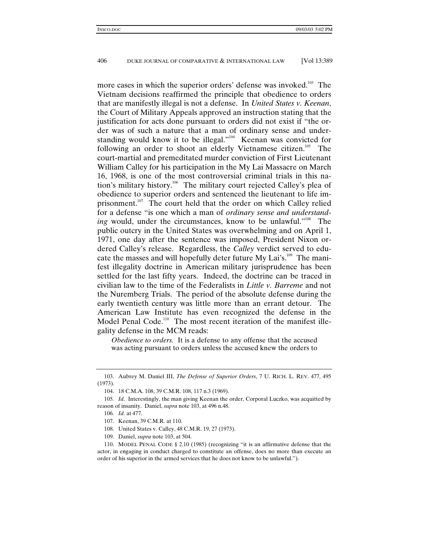more cases in which the superior orders' defense was invoked.<sup>103</sup> The Vietnam decisions reaffirmed the principle that obedience to orders that are manifestly illegal is not a defense. In *United States v. Keenan*, the Court of Military Appeals approved an instruction stating that the justification for acts done pursuant to orders did not exist if "the order was of such a nature that a man of ordinary sense and understanding would know it to be illegal."<sup>104</sup> Keenan was convicted for following an order to shoot an elderly Vietnamese citizen.<sup>105</sup> The court-martial and premeditated murder conviction of First Lieutenant William Calley for his participation in the My Lai Massacre on March 16, 1968, is one of the most controversial criminal trials in this nation's military history.<sup>106</sup> The military court rejected Calley's plea of obedience to superior orders and sentenced the lieutenant to life imprisonment.<sup>107</sup> The court held that the order on which Calley relied for a defense "is one which a man of *ordinary sense and understanding* would, under the circumstances, know to be unlawful."<sup>108</sup> The public outcry in the United States was overwhelming and on April 1, 1971, one day after the sentence was imposed, President Nixon ordered Calley's release. Regardless, the *Calley* verdict served to educate the masses and will hopefully deter future My Lai's.<sup>109</sup> The manifest illegality doctrine in American military jurisprudence has been settled for the last fifty years. Indeed, the doctrine can be traced in civilian law to the time of the Federalists in *Little v. Barreme* and not the Nuremberg Trials. The period of the absolute defense during the early twentieth century was little more than an errant detour. The American Law Institute has even recognized the defense in the Model Penal Code.<sup>110</sup> The most recent iteration of the manifest illegality defense in the MCM reads:

*Obedience to orders.* It is a defense to any offense that the accused was acting pursuant to orders unless the accused knew the orders to

<sup>103.</sup> Aubrey M. Daniel III, *The Defense of Superior Orders*, 7 U. RICH. L. REV. 477, 495 (1973).

<sup>104. 18</sup> C.M.A. 108, 39 C.M.R. 108, 117 n.3 (1969).

<sup>105</sup>*. Id*. Interestingly, the man giving Keenan the order, Corporal Luczko, was acquitted by reason of insanity. Daniel, *supra* note 103, at 496 n.48.

<sup>106</sup>*. Id.* at 477.

<sup>107.</sup> Keenan, 39 C.M.R. at 110.

<sup>108.</sup> United States v. Calley, 48 C.M.R. 19, 27 (1973).

<sup>109.</sup> Daniel, *supra* note 103, at 504.

<sup>110.</sup> MODEL PENAL CODE § 2.10 (1985) (recognizing "it is an affirmative defense that the actor, in engaging in conduct charged to constitute an offense, does no more than execute an order of his superior in the armed services that he does not know to be unlawful.").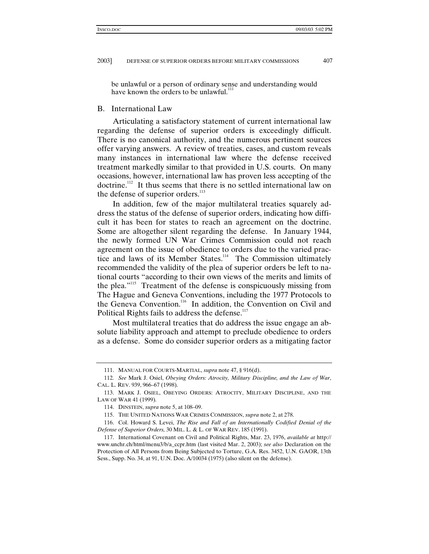be unlawful or a person of ordinary sense and understanding would have known the orders to be unlawful.<sup>11</sup>

#### B. International Law

Articulating a satisfactory statement of current international law regarding the defense of superior orders is exceedingly difficult. There is no canonical authority, and the numerous pertinent sources offer varying answers. A review of treaties, cases, and custom reveals many instances in international law where the defense received treatment markedly similar to that provided in U.S. courts. On many occasions, however, international law has proven less accepting of the doctrine.<sup>112</sup> It thus seems that there is no settled international law on the defense of superior orders.<sup>113</sup>

In addition, few of the major multilateral treaties squarely address the status of the defense of superior orders, indicating how difficult it has been for states to reach an agreement on the doctrine. Some are altogether silent regarding the defense. In January 1944, the newly formed UN War Crimes Commission could not reach agreement on the issue of obedience to orders due to the varied practice and laws of its Member States.<sup>114</sup> The Commission ultimately recommended the validity of the plea of superior orders be left to national courts "according to their own views of the merits and limits of the plea."115 Treatment of the defense is conspicuously missing from The Hague and Geneva Conventions, including the 1977 Protocols to the Geneva Convention.<sup>116</sup> In addition, the Convention on Civil and Political Rights fails to address the defense.<sup>117</sup>

Most multilateral treaties that do address the issue engage an absolute liability approach and attempt to preclude obedience to orders as a defense. Some do consider superior orders as a mitigating factor

<sup>111.</sup> MANUAL FOR COURTS-MARTIAL, *supra* note 47, § 916(d).

<sup>112</sup>*. See* Mark J. Osiel, *Obeying Orders: Atrocity, Military Discipline, and the Law of War*, CAL. L. REV. 939, 966–67 (1998).

<sup>113.</sup> MARK J. OSIEL, OBEYING ORDERS: ATROCITY, MILITARY DISCIPLINE, AND THE LAW OF WAR 41 (1999).

<sup>114.</sup> DINSTEIN, *supra* note 5, at 108–09.

<sup>115.</sup> THE UNITED NATIONS WAR CRIMES COMMISSION, *supra* note 2, at 278.

<sup>116.</sup> Col. Howard S. Levei, *The Rise and Fall of an Internationally Codified Denial of the Defense of Superior Orders,* 30 MIL. L. & L. OF WAR REV. 185 (1991).

<sup>117.</sup> International Covenant on Civil and Political Rights, Mar. 23, 1976, *available at* http:// www.unchr.ch/html/menu3/b/a\_ccpr.htm (last visited Mar. 2, 2003); *see also* Declaration on the Protection of All Persons from Being Subjected to Torture, G.A. Res. 3452, U.N. GAOR, 13th Sess., Supp. No. 34, at 91, U.N. Doc. A/10034 (1975) (also silent on the defense).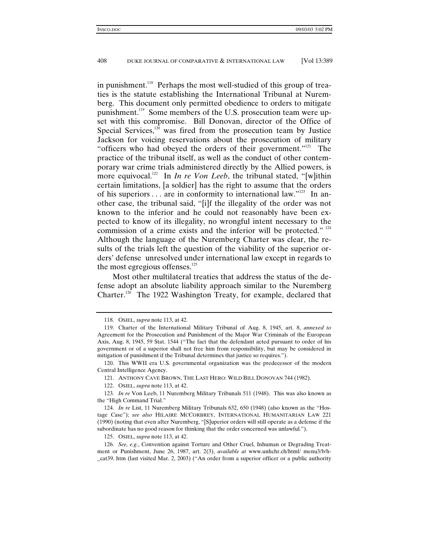in punishment.<sup>118</sup> Perhaps the most well-studied of this group of treaties is the statute establishing the International Tribunal at Nuremberg. This document only permitted obedience to orders to mitigate punishment.119 Some members of the U.S. prosecution team were upset with this compromise. Bill Donovan, director of the Office of Special Services, $120$  was fired from the prosecution team by Justice Jackson for voicing reservations about the prosecution of military "officers who had obeyed the orders of their government."<sup>121</sup> The practice of the tribunal itself, as well as the conduct of other contemporary war crime trials administered directly by the Allied powers, is more equivocal.<sup>122</sup> In *In re Von Leeb*, the tribunal stated, "[w]ithin certain limitations, [a soldier] has the right to assume that the orders of his superiors  $\dots$  are in conformity to international law."<sup>123</sup> In another case, the tribunal said, "[i]f the illegality of the order was not known to the inferior and he could not reasonably have been expected to know of its illegality, no wrongful intent necessary to the commission of a crime exists and the inferior will be protected."  $124$ Although the language of the Nuremberg Charter was clear, the results of the trials left the question of the viability of the superior orders' defense unresolved under international law except in regards to the most egregious offenses. $125$ 

Most other multilateral treaties that address the status of the defense adopt an absolute liability approach similar to the Nuremberg Charter.<sup>126</sup> The 1922 Washington Treaty, for example, declared that

<sup>118.</sup> OSIEL, *supra* note 113, at 42.

<sup>119.</sup> Charter of the International Military Tribunal of Aug. 8, 1945, art. 8, *annexed to* Agreement for the Prosecution and Punishment of the Major War Criminals of the European Axis, Aug. 8, 1945, 59 Stat. 1544 ("The fact that the defendant acted pursuant to order of his government or of a superior shall not free him from responsibility, but may be considered in mitigation of punishment if the Tribunal determines that justice so requires.").

<sup>120.</sup> This WWII era U.S. governmental organization was the predecessor of the modern Central Intelligence Agency.

<sup>121.</sup> ANTHONY CAVE BROWN, THE LAST HERO: WILD BILL DONOVAN 744 (1982).

<sup>122.</sup> OSIEL, *supra* note 113, at 42.

<sup>123</sup>*. In re* Von Leeb, 11 Nuremberg Military Tribunals 511 (1948). This was also known as the "High Command Trial."

<sup>124</sup>*. In re* List, 11 Nuremberg Military Tribunals 632, 650 (1948) (also known as the "Hostage Case"); *see also* HILAIRE MCCORBREY, INTERNATIONAL HUMANITARIAN LAW 221 (1990) (noting that even after Nuremberg, "[S]uperior orders will still operate as a defense if the subordinate has no good reason for thinking that the order concerned was unlawful.").

<sup>125.</sup> OSIEL, *supra* note 113, at 42.

<sup>126</sup>*. See, e.g.*, Convention against Torture and Other Cruel, Inhuman or Degrading Treatment or Punishment, June 26, 1987, art. 2(3), *available at* www.unhchr.ch/html/ menu3/b/h- \_cat39. htm (last visited Mar. 2, 2003) ("An order from a superior officer or a public authority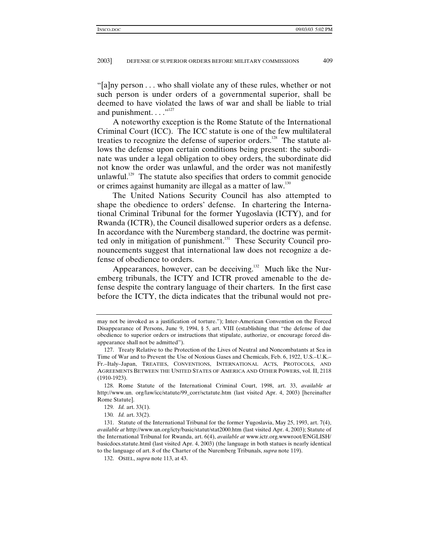"[a]ny person . . . who shall violate any of these rules, whether or not such person is under orders of a governmental superior, shall be deemed to have violated the laws of war and shall be liable to trial and punishment.  $\dots$ <sup>"127</sup>

A noteworthy exception is the Rome Statute of the International Criminal Court (ICC). The ICC statute is one of the few multilateral treaties to recognize the defense of superior orders.<sup>128</sup> The statute allows the defense upon certain conditions being present: the subordinate was under a legal obligation to obey orders, the subordinate did not know the order was unlawful, and the order was not manifestly unlawful.<sup>129</sup> The statute also specifies that orders to commit genocide or crimes against humanity are illegal as a matter of law.<sup>130</sup>

The United Nations Security Council has also attempted to shape the obedience to orders' defense. In chartering the International Criminal Tribunal for the former Yugoslavia (ICTY), and for Rwanda (ICTR), the Council disallowed superior orders as a defense. In accordance with the Nuremberg standard, the doctrine was permitted only in mitigation of punishment.<sup>131</sup> These Security Council pronouncements suggest that international law does not recognize a defense of obedience to orders.

Appearances, however, can be deceiving.<sup>132</sup> Much like the Nuremberg tribunals, the ICTY and ICTR proved amenable to the defense despite the contrary language of their charters. In the first case before the ICTY, the dicta indicates that the tribunal would not pre-

may not be invoked as a justification of torture."); Inter-American Convention on the Forced Disappearance of Persons, June 9, 1994, § 5, art. VIII (establishing that "the defense of due obedience to superior orders or instructions that stipulate, authorize, or encourage forced disappearance shall not be admitted").

<sup>127.</sup> Treaty Relative to the Protection of the Lives of Neutral and Noncombatants at Sea in Time of War and to Prevent the Use of Noxious Gases and Chemicals, Feb. 6, 1922, U.S.–U.K.– Fr.–Italy–Japan, TREATIES, CONVENTIONS, INTERNATIONAL ACTS, PROTOCOLS, AND AGREEMENTS BETWEEN THE UNITED STATES OF AMERICA AND OTHER POWERS, vol. II, 2118 (1910-1923).

<sup>128.</sup> Rome Statute of the International Criminal Court, 1998, art. 33, *available at* http://www.un. org/law/icc/statute/99\_corr/sctatute.htm (last visited Apr. 4, 2003) [hereinafter Rome Statute].

<sup>129</sup>*. Id.* art. 33(1).

<sup>130</sup>*. Id.* art. 33(2).

<sup>131.</sup> Statute of the International Tribunal for the former Yugoslavia, May 25, 1993, art. 7(4), *available at* http://www.un.org/icty/basic/statut/stat2000.htm (last visited Apr. 4, 2003); Statute of the International Tribunal for Rwanda, art. 6(4), *available at* www.ictr.org.wwwroot/ENGLISH/ basicdocs.statute.html (last visited Apr. 4, 2003) (the language in both statues is nearly identical to the language of art. 8 of the Charter of the Nuremberg Tribunals, *supra* note 119).

<sup>132.</sup> OSIEL, *supra* note 113, at 43.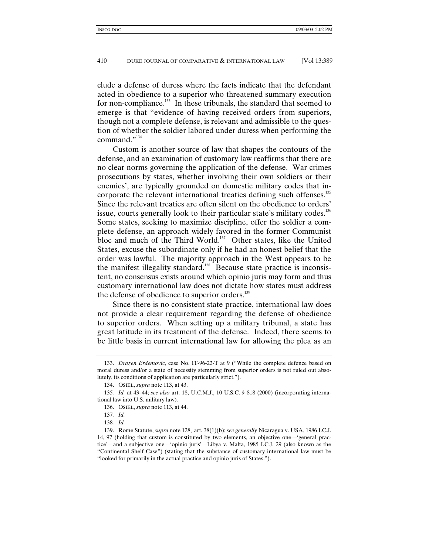clude a defense of duress where the facts indicate that the defendant acted in obedience to a superior who threatened summary execution for non-compliance.<sup>133</sup> In these tribunals, the standard that seemed to emerge is that "evidence of having received orders from superiors, though not a complete defense, is relevant and admissible to the question of whether the soldier labored under duress when performing the command."134

Custom is another source of law that shapes the contours of the defense, and an examination of customary law reaffirms that there are no clear norms governing the application of the defense. War crimes prosecutions by states, whether involving their own soldiers or their enemies', are typically grounded on domestic military codes that incorporate the relevant international treaties defining such offenses.<sup>135</sup> Since the relevant treaties are often silent on the obedience to orders' issue, courts generally look to their particular state's military codes.<sup>136</sup> Some states, seeking to maximize discipline, offer the soldier a complete defense, an approach widely favored in the former Communist bloc and much of the Third World.<sup>137</sup> Other states, like the United States, excuse the subordinate only if he had an honest belief that the order was lawful. The majority approach in the West appears to be the manifest illegality standard.<sup>138</sup> Because state practice is inconsistent, no consensus exists around which opinio juris may form and thus customary international law does not dictate how states must address the defense of obedience to superior orders.<sup>139</sup>

Since there is no consistent state practice, international law does not provide a clear requirement regarding the defense of obedience to superior orders. When setting up a military tribunal, a state has great latitude in its treatment of the defense. Indeed, there seems to be little basis in current international law for allowing the plea as an

<sup>133.</sup> *Drazen Erdemovic*, case No. IT-96-22-T at 9 ("While the complete defence based on moral duress and/or a state of necessity stemming from superior orders is not ruled out absolutely, its conditions of application are particularly strict.").

<sup>134.</sup> OSIEL, *supra* note 113, at 43.

<sup>135</sup>*. Id.* at 43–44; *see also* art. 18, U.C.M.J., 10 U.S.C. § 818 (2000) (incorporating international law into U.S. military law).

<sup>136.</sup> OSIEL, *supra* note 113, at 44.

<sup>137</sup>*. Id.*

<sup>138</sup>*. Id.*

<sup>139.</sup> Rome Statute, *supra* note 128, art. 38(1)(b); *see generally* Nicaragua v. USA, 1986 I.C.J. 14, 97 (holding that custom is constituted by two elements, an objective one—'general practice'—and a subjective one—'opinio juris'—Libya v. Malta, 1985 I.C.J. 29 (also known as the "Continental Shelf Case") (stating that the substance of customary international law must be "looked for primarily in the actual practice and opinio juris of States.").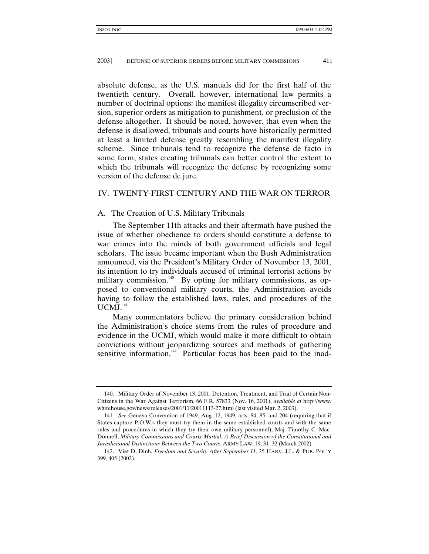absolute defense, as the U.S. manuals did for the first half of the twentieth century. Overall, however, international law permits a number of doctrinal options: the manifest illegality circumscribed version, superior orders as mitigation to punishment, or preclusion of the defense altogether. It should be noted, however, that even when the defense is disallowed, tribunals and courts have historically permitted at least a limited defense greatly resembling the manifest illegality scheme. Since tribunals tend to recognize the defense de facto in some form, states creating tribunals can better control the extent to which the tribunals will recognize the defense by recognizing some version of the defense de jure.

## IV. TWENTY-FIRST CENTURY AND THE WAR ON TERROR

#### A. The Creation of U.S. Military Tribunals

The September 11th attacks and their aftermath have pushed the issue of whether obedience to orders should constitute a defense to war crimes into the minds of both government officials and legal scholars. The issue became important when the Bush Administration announced, via the President's Military Order of November 13, 2001, its intention to try individuals accused of criminal terrorist actions by military commission.<sup>140</sup> By opting for military commissions, as opposed to conventional military courts, the Administration avoids having to follow the established laws, rules, and procedures of the  $UCMJ$ <sup>141</sup>

Many commentators believe the primary consideration behind the Administration's choice stems from the rules of procedure and evidence in the UCMJ, which would make it more difficult to obtain convictions without jeopardizing sources and methods of gathering sensitive information. $142$  Particular focus has been paid to the inad-

<sup>140.</sup> Military Order of November 13, 2001, Detention, Treatment, and Trial of Certain Non-Citizens in the War Against Terrorism, 66 F.R. 57833 (Nov. 16, 2001), *available at* http://www. whitehouse.gov/news/releases/2001/11/20011113-27.html (last visited Mar. 2, 2003).

<sup>141</sup>*. See* Geneva Convention of 1949, Aug. 12, 1949, arts. 84, 85, and 204 (requiring that if States capture P.O.W.s they must try them in the same established courts and with the same rules and procedures in which they try their own military personnel); Maj. Timothy C. Mac-Donnell, *Military Commissions and Courts-Martial: A Brief Discussion of the Constitutional and Jurisdictional Distinctions Between the Two Courts*, ARMY LAW. 19, 31–32 (March 2002).

<sup>142.</sup> Viet D. Dinh, *Freedom and Security After September 11*, 25 HARV. J.L. & PUB. POL'Y 399, 405 (2002).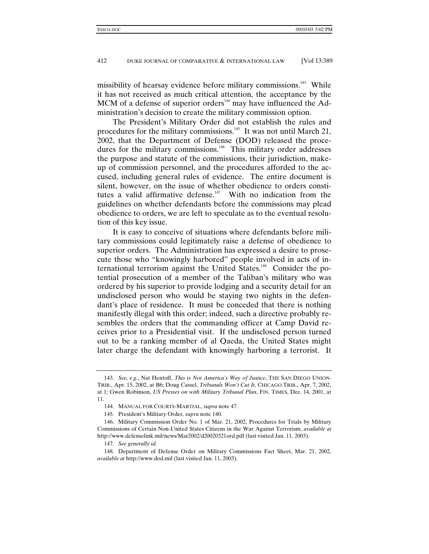missibility of hearsay evidence before military commissions.<sup>143</sup> While it has not received as much critical attention, the acceptance by the MCM of a defense of superior orders<sup> $144$ </sup> may have influenced the Administration's decision to create the military commission option.

The President's Military Order did not establish the rules and procedures for the military commissions.<sup>145</sup> It was not until March 21, 2002, that the Department of Defense (DOD) released the procedures for the military commissions.<sup>146</sup> This military order addresses the purpose and statute of the commissions, their jurisdiction, makeup of commission personnel, and the procedures afforded to the accused, including general rules of evidence. The entire document is silent, however, on the issue of whether obedience to orders constitutes a valid affirmative defense.<sup>147</sup> With no indication from the guidelines on whether defendants before the commissions may plead obedience to orders, we are left to speculate as to the eventual resolution of this key issue.

It is easy to conceive of situations where defendants before military commissions could legitimately raise a defense of obedience to superior orders. The Administration has expressed a desire to prosecute those who "knowingly harbored" people involved in acts of international terrorism against the United States.<sup>148</sup> Consider the potential prosecution of a member of the Taliban's military who was ordered by his superior to provide lodging and a security detail for an undisclosed person who would be staying two nights in the defendant's place of residence. It must be conceded that there is nothing manifestly illegal with this order; indeed, such a directive probably resembles the orders that the commanding officer at Camp David receives prior to a Presidential visit. If the undisclosed person turned out to be a ranking member of al Qaeda, the United States might later charge the defendant with knowingly harboring a terrorist. It

<sup>143</sup>*. See, e.g.*, Nat Hentoff, *This is Not America's Way of Justice*, THE SAN DIEGO UNION-TRIB., Apr. 15, 2002, at B6; Doug Cassel, *Tribunals Won't Cut It*, CHICAGO TRIB., Apr. 7, 2002, at 1; Gwen Robinson, *US Presses on with Military Tribunal Plan*, FIN. TIMES, Dec. 14, 2001, at 11.

<sup>144.</sup> MANUAL FOR COURTS-MARTIAL, *supra* note 47.

<sup>145.</sup> President's Military Order, *supra* note 140.

<sup>146.</sup> Military Commission Order No. 1 of Mar. 21, 2002, Procedures for Trials by Military Commissions of Certain Non-United States Citizens in the War Against Terrorism, *available at* http://www.defenselink.mil/news/Mar2002/d20020321ord.pdf (last visited Jan. 11, 2003).

<sup>147</sup>*. See generally id.*

<sup>148.</sup> Department of Defense Order on Military Commissions Fact Sheet, Mar. 21, 2002, *available at* http://www.dod.mil (last visited Jan. 11, 2003).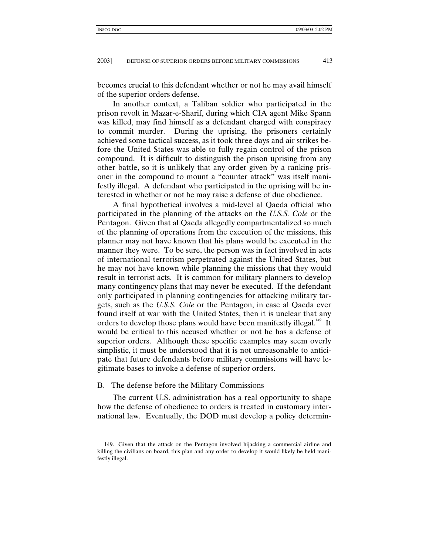becomes crucial to this defendant whether or not he may avail himself of the superior orders defense.

In another context, a Taliban soldier who participated in the prison revolt in Mazar-e-Sharif, during which CIA agent Mike Spann was killed, may find himself as a defendant charged with conspiracy to commit murder. During the uprising, the prisoners certainly achieved some tactical success, as it took three days and air strikes before the United States was able to fully regain control of the prison compound. It is difficult to distinguish the prison uprising from any other battle, so it is unlikely that any order given by a ranking prisoner in the compound to mount a "counter attack" was itself manifestly illegal. A defendant who participated in the uprising will be interested in whether or not he may raise a defense of due obedience.

A final hypothetical involves a mid-level al Qaeda official who participated in the planning of the attacks on the *U.S.S. Cole* or the Pentagon. Given that al Qaeda allegedly compartmentalized so much of the planning of operations from the execution of the missions, this planner may not have known that his plans would be executed in the manner they were. To be sure, the person was in fact involved in acts of international terrorism perpetrated against the United States, but he may not have known while planning the missions that they would result in terrorist acts. It is common for military planners to develop many contingency plans that may never be executed. If the defendant only participated in planning contingencies for attacking military targets, such as the *U.S.S. Cole* or the Pentagon, in case al Qaeda ever found itself at war with the United States, then it is unclear that any orders to develop those plans would have been manifestly illegal. $149$  It would be critical to this accused whether or not he has a defense of superior orders. Although these specific examples may seem overly simplistic, it must be understood that it is not unreasonable to anticipate that future defendants before military commissions will have legitimate bases to invoke a defense of superior orders.

## B. The defense before the Military Commissions

The current U.S. administration has a real opportunity to shape how the defense of obedience to orders is treated in customary international law. Eventually, the DOD must develop a policy determin-

<sup>149.</sup> Given that the attack on the Pentagon involved hijacking a commercial airline and killing the civilians on board, this plan and any order to develop it would likely be held manifestly illegal.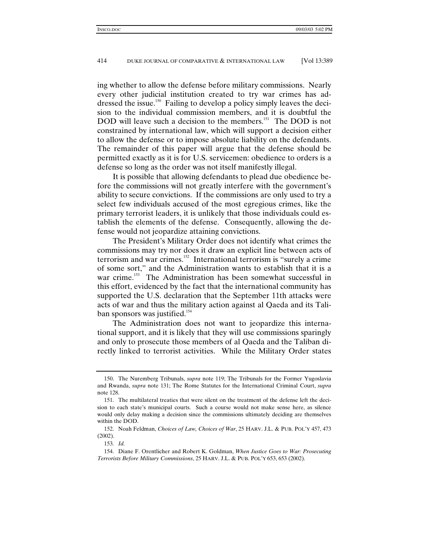ing whether to allow the defense before military commissions. Nearly every other judicial institution created to try war crimes has addressed the issue.<sup>150</sup> Failing to develop a policy simply leaves the decision to the individual commission members, and it is doubtful the DOD will leave such a decision to the members.<sup>151</sup> The DOD is not constrained by international law, which will support a decision either to allow the defense or to impose absolute liability on the defendants. The remainder of this paper will argue that the defense should be permitted exactly as it is for U.S. servicemen: obedience to orders is a defense so long as the order was not itself manifestly illegal.

It is possible that allowing defendants to plead due obedience before the commissions will not greatly interfere with the government's ability to secure convictions. If the commissions are only used to try a select few individuals accused of the most egregious crimes, like the primary terrorist leaders, it is unlikely that those individuals could establish the elements of the defense. Consequently, allowing the defense would not jeopardize attaining convictions.

The President's Military Order does not identify what crimes the commissions may try nor does it draw an explicit line between acts of terrorism and war crimes.<sup>152</sup> International terrorism is "surely a crime of some sort," and the Administration wants to establish that it is a war crime.<sup>153</sup> The Administration has been somewhat successful in this effort, evidenced by the fact that the international community has supported the U.S. declaration that the September 11th attacks were acts of war and thus the military action against al Qaeda and its Taliban sponsors was justified.<sup>154</sup>

The Administration does not want to jeopardize this international support, and it is likely that they will use commissions sparingly and only to prosecute those members of al Qaeda and the Taliban directly linked to terrorist activities. While the Military Order states

<sup>150.</sup> The Nuremberg Tribunals, *supra* note 119; The Tribunals for the Former Yugoslavia and Rwanda, *supra* note 131; The Rome Statutes for the International Criminal Court, *supra* note 128.

<sup>151.</sup> The multilateral treaties that were silent on the treatment of the defense left the decision to each state's municipal courts. Such a course would not make sense here, as silence would only delay making a decision since the commissions ultimately deciding are themselves within the DOD.

<sup>152.</sup> Noah Feldman, *Choices of Law, Choices of War*, 25 HARV. J.L. & PUB. POL'Y 457, 473 (2002).

<sup>153</sup>*. Id.*

<sup>154.</sup> Diane F. Orentlicher and Robert K. Goldman, *When Justice Goes to War: Prosecuting Terrorists Before Military Commissions*, 25 HARV. J.L. & PUB. POL'Y 653, 653 (2002).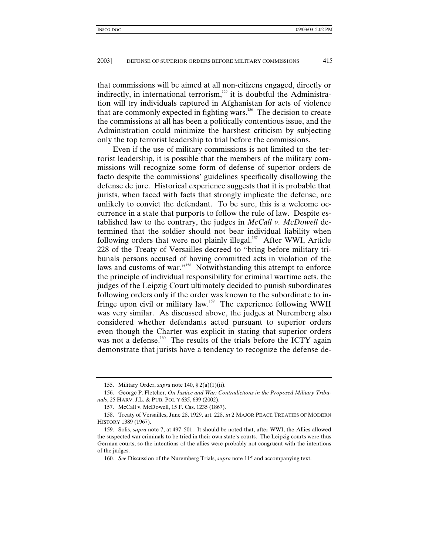that commissions will be aimed at all non-citizens engaged, directly or indirectly, in international terrorism, $155$  it is doubtful the Administration will try individuals captured in Afghanistan for acts of violence that are commonly expected in fighting wars.156 The decision to create the commissions at all has been a politically contentious issue, and the Administration could minimize the harshest criticism by subjecting only the top terrorist leadership to trial before the commissions.

Even if the use of military commissions is not limited to the terrorist leadership, it is possible that the members of the military commissions will recognize some form of defense of superior orders de facto despite the commissions' guidelines specifically disallowing the defense de jure. Historical experience suggests that it is probable that jurists, when faced with facts that strongly implicate the defense, are unlikely to convict the defendant. To be sure, this is a welcome occurrence in a state that purports to follow the rule of law. Despite established law to the contrary, the judges in *McCall v. McDowell* determined that the soldier should not bear individual liability when following orders that were not plainly illegal.<sup>157</sup> After WWI, Article 228 of the Treaty of Versailles decreed to "bring before military tribunals persons accused of having committed acts in violation of the laws and customs of war."<sup>158</sup> Notwithstanding this attempt to enforce the principle of individual responsibility for criminal wartime acts, the judges of the Leipzig Court ultimately decided to punish subordinates following orders only if the order was known to the subordinate to infringe upon civil or military law.<sup>159</sup> The experience following WWII was very similar. As discussed above, the judges at Nuremberg also considered whether defendants acted pursuant to superior orders even though the Charter was explicit in stating that superior orders was not a defense.<sup>160</sup> The results of the trials before the ICTY again demonstrate that jurists have a tendency to recognize the defense de-

<sup>155.</sup> Military Order, *supra* note 140, § 2(a)(1)(ii).

<sup>156.</sup> George P. Fletcher, *On Justice and War: Contradictions in the Proposed Military Tribunals*, 25 HARV. J.L. & PUB. POL'Y 635, 639 (2002).

<sup>157.</sup> McCall v. McDowell, 15 F. Cas. 1235 (1867).

<sup>158.</sup> Treaty of Versailles, June 28, 1929, art. 228, *in* 2 MAJOR PEACE TREATIES OF MODERN HISTORY 1389 (1967).

<sup>159.</sup> Solis, *supra* note 7, at 497–501. It should be noted that, after WWI, the Allies allowed the suspected war criminals to be tried in their own state's courts. The Leipzig courts were thus German courts, so the intentions of the allies were probably not congruent with the intentions of the judges.

<sup>160</sup>*. See* Discussion of the Nuremberg Trials, *supra* note 115 and accompanying text.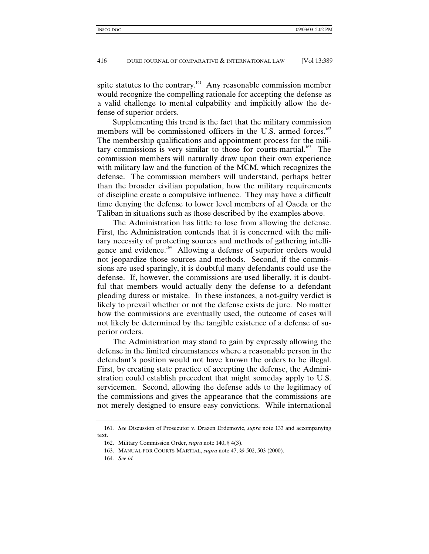spite statutes to the contrary.<sup>161</sup> Any reasonable commission member would recognize the compelling rationale for accepting the defense as a valid challenge to mental culpability and implicitly allow the defense of superior orders.

Supplementing this trend is the fact that the military commission members will be commissioned officers in the U.S. armed forces.<sup>162</sup> The membership qualifications and appointment process for the military commissions is very similar to those for courts-martial.<sup>163</sup> The commission members will naturally draw upon their own experience with military law and the function of the MCM, which recognizes the defense. The commission members will understand, perhaps better than the broader civilian population, how the military requirements of discipline create a compulsive influence. They may have a difficult time denying the defense to lower level members of al Qaeda or the Taliban in situations such as those described by the examples above.

The Administration has little to lose from allowing the defense. First, the Administration contends that it is concerned with the military necessity of protecting sources and methods of gathering intelligence and evidence.<sup>164</sup> Allowing a defense of superior orders would not jeopardize those sources and methods. Second, if the commissions are used sparingly, it is doubtful many defendants could use the defense. If, however, the commissions are used liberally, it is doubtful that members would actually deny the defense to a defendant pleading duress or mistake. In these instances, a not-guilty verdict is likely to prevail whether or not the defense exists de jure. No matter how the commissions are eventually used, the outcome of cases will not likely be determined by the tangible existence of a defense of superior orders.

The Administration may stand to gain by expressly allowing the defense in the limited circumstances where a reasonable person in the defendant's position would not have known the orders to be illegal. First, by creating state practice of accepting the defense, the Administration could establish precedent that might someday apply to U.S. servicemen. Second, allowing the defense adds to the legitimacy of the commissions and gives the appearance that the commissions are not merely designed to ensure easy convictions. While international

<sup>161</sup>*. See* Discussion of Prosecutor v. Drazen Erdemovic, *supra* note 133 and accompanying text.

<sup>162.</sup> Military Commission Order, *supra* note 140, § 4(3).

<sup>163.</sup> MANUAL FOR COURTS-MARTIAL, *supra* note 47, §§ 502, 503 (2000).

<sup>164</sup>*. See id.*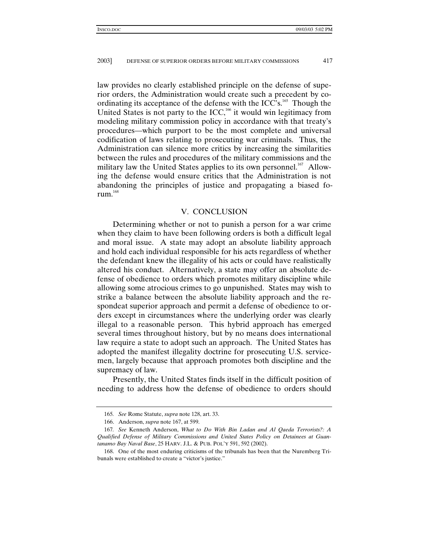law provides no clearly established principle on the defense of superior orders, the Administration would create such a precedent by coordinating its acceptance of the defense with the ICC's.<sup>165</sup> Though the United States is not party to the ICC,<sup>166</sup> it would win legitimacy from modeling military commission policy in accordance with that treaty's procedures—which purport to be the most complete and universal codification of laws relating to prosecuting war criminals. Thus, the Administration can silence more critics by increasing the similarities between the rules and procedures of the military commissions and the military law the United States applies to its own personnel.<sup>167</sup> Allowing the defense would ensure critics that the Administration is not abandoning the principles of justice and propagating a biased forum. $168$ 

#### V. CONCLUSION

Determining whether or not to punish a person for a war crime when they claim to have been following orders is both a difficult legal and moral issue. A state may adopt an absolute liability approach and hold each individual responsible for his acts regardless of whether the defendant knew the illegality of his acts or could have realistically altered his conduct. Alternatively, a state may offer an absolute defense of obedience to orders which promotes military discipline while allowing some atrocious crimes to go unpunished. States may wish to strike a balance between the absolute liability approach and the respondeat superior approach and permit a defense of obedience to orders except in circumstances where the underlying order was clearly illegal to a reasonable person. This hybrid approach has emerged several times throughout history, but by no means does international law require a state to adopt such an approach. The United States has adopted the manifest illegality doctrine for prosecuting U.S. servicemen, largely because that approach promotes both discipline and the supremacy of law.

Presently, the United States finds itself in the difficult position of needing to address how the defense of obedience to orders should

<sup>165</sup>*. See* Rome Statute, *supra* note 128, art. 33.

<sup>166.</sup> Anderson, *supra* note 167, at 599.

<sup>167</sup>*. See* Kenneth Anderson, *What to Do With Bin Ladan and Al Qaeda Terrorists?: A Qualified Defense of Military Commissions and United States Policy on Detainees at Guantanamo Bay Naval Base*, 25 HARV. J.L. & PUB. POL'Y 591, 592 (2002).

<sup>168.</sup> One of the most enduring criticisms of the tribunals has been that the Nuremberg Tribunals were established to create a "victor's justice."